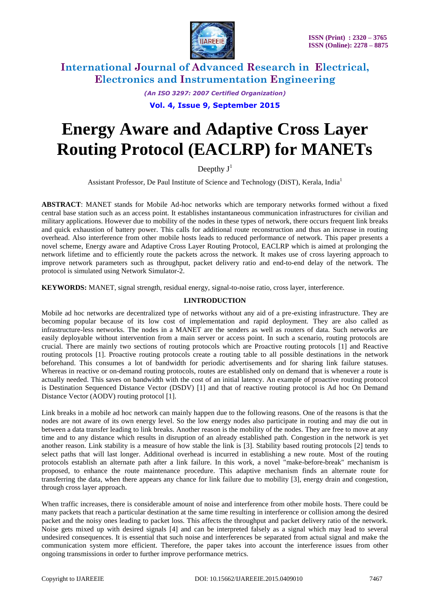

*(An ISO 3297: 2007 Certified Organization)*

### **Vol. 4, Issue 9, September 2015**

# **Energy Aware and Adaptive Cross Layer Routing Protocol (EACLRP) for MANETs**

Deepthy  $J^1$ 

Assistant Professor, De Paul Institute of Science and Technology (DiST), Kerala, India<sup>1</sup>

**ABSTRACT**: MANET stands for Mobile Ad-hoc networks which are temporary networks formed without a fixed central base station such as an access point. It establishes instantaneous communication infrastructures for civilian and military applications. However due to mobility of the nodes in these types of network, there occurs frequent link breaks and quick exhaustion of battery power. This calls for additional route reconstruction and thus an increase in routing overhead. Also interference from other mobile hosts leads to reduced performance of network. This paper presents a novel scheme, Energy aware and Adaptive Cross Layer Routing Protocol, EACLRP which is aimed at prolonging the network lifetime and to efficiently route the packets across the network. It makes use of cross layering approach to improve network parameters such as throughput, packet delivery ratio and end-to-end delay of the network. The protocol is simulated using Network Simulator-2.

**KEYWORDS:** MANET, signal strength, residual energy, signal-to-noise ratio, cross layer, interference.

### **I.INTRODUCTION**

Mobile ad hoc networks are decentralized type of networks without any aid of a pre-existing infrastructure. They are becoming popular because of its low cost of implementation and rapid deployment. They are also called as infrastructure-less networks. The nodes in a MANET are the senders as well as routers of data. Such networks are easily deployable without intervention from a main server or access point. In such a scenario, routing protocols are crucial. There are mainly two sections of routing protocols which are Proactive routing protocols [1] and Reactive routing protocols [1]. Proactive routing protocols create a routing table to all possible destinations in the network beforehand. This consumes a lot of bandwidth for periodic advertisements and for sharing link failure statuses. Whereas in reactive or on-demand routing protocols, routes are established only on demand that is whenever a route is actually needed. This saves on bandwidth with the cost of an initial latency. An example of proactive routing protocol is Destination Sequenced Distance Vector (DSDV) [1] and that of reactive routing protocol is Ad hoc On Demand Distance Vector (AODV) routing protocol [1].

Link breaks in a mobile ad hoc network can mainly happen due to the following reasons. One of the reasons is that the nodes are not aware of its own energy level. So the low energy nodes also participate in routing and may die out in between a data transfer leading to link breaks. Another reason is the mobility of the nodes. They are free to move at any time and to any distance which results in disruption of an already established path. Congestion in the network is yet another reason. Link stability is a measure of how stable the link is [3]. Stability based routing protocols [2] tends to select paths that will last longer. Additional overhead is incurred in establishing a new route. Most of the routing protocols establish an alternate path after a link failure. In this work, a novel "make-before-break" mechanism is proposed, to enhance the route maintenance procedure. This adaptive mechanism finds an alternate route for transferring the data, when there appears any chance for link failure due to mobility [3], energy drain and congestion, through cross layer approach.

When traffic increases, there is considerable amount of noise and interference from other mobile hosts. There could be many packets that reach a particular destination at the same time resulting in interference or collision among the desired packet and the noisy ones leading to packet loss. This affects the throughput and packet delivery ratio of the network. Noise gets mixed up with desired signals [4] and can be interpreted falsely as a signal which may lead to several undesired consequences. It is essential that such noise and interferences be separated from actual signal and make the communication system more efficient. Therefore, the paper takes into account the interference issues from other ongoing transmissions in order to further improve performance metrics.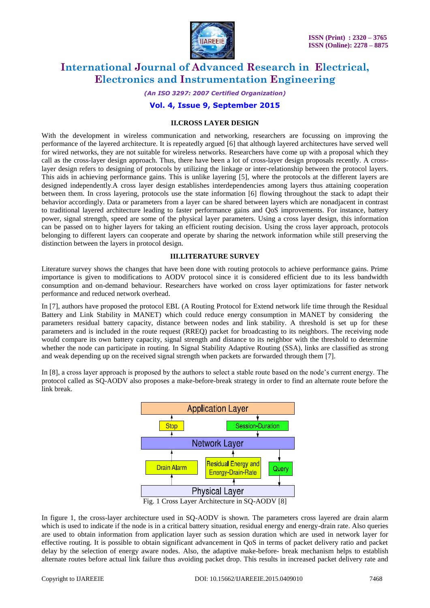

*(An ISO 3297: 2007 Certified Organization)*

### **Vol. 4, Issue 9, September 2015**

#### **II.CROSS LAYER DESIGN**

With the development in wireless communication and networking, researchers are focussing on improving the performance of the layered architecture. It is repeatedly argued [6] that although layered architectures have served well for wired networks, they are not suitable for wireless networks. Researchers have come up with a proposal which they call as the cross-layer design approach. Thus, there have been a lot of cross-layer design proposals recently. A crosslayer design refers to designing of protocols by utilizing the linkage or inter-relationship between the protocol layers. This aids in achieving performance gains. This is unlike layering [5], where the protocols at the different layers are designed independently.A cross layer design establishes interdependencies among layers thus attaining cooperation between them. In cross layering, protocols use the state information [6] flowing throughout the stack to adapt their behavior accordingly. Data or parameters from a layer can be shared between layers which are nonadjacent in contrast to traditional layered architecture leading to faster performance gains and QoS improvements. For instance, battery power, signal strength, speed are some of the physical layer parameters. Using a cross layer design, this information can be passed on to higher layers for taking an efficient routing decision. Using the cross layer approach, protocols belonging to different layers can cooperate and operate by sharing the network information while still preserving the distinction between the layers in protocol design.

### **III.LITERATURE SURVEY**

Literature survey shows the changes that have been done with routing protocols to achieve performance gains. Prime importance is given to modifications to AODV protocol since it is considered efficient due to its less bandwidth consumption and on-demand behaviour. Researchers have worked on cross layer optimizations for faster network performance and reduced network overhead.

In [7], authors have proposed the protocol EBL (A Routing Protocol for Extend network life time through the Residual Battery and Link Stability in MANET) which could reduce energy consumption in MANET by considering the parameters residual battery capacity, distance between nodes and link stability. A threshold is set up for these parameters and is included in the route request (RREQ) packet for broadcasting to its neighbors. The receiving node would compare its own battery capacity, signal strength and distance to its neighbor with the threshold to determine whether the node can participate in routing. In Signal Stability Adaptive Routing (SSA), links are classified as strong and weak depending up on the received signal strength when packets are forwarded through them [7].

In [8], a cross layer approach is proposed by the authors to select a stable route based on the node's current energy. The protocol called as SQ-AODV also proposes a make-before-break strategy in order to find an alternate route before the link break.



In figure 1, the cross-layer architecture used in SQ-AODV is shown. The parameters cross layered are drain alarm which is used to indicate if the node is in a critical battery situation, residual energy and energy-drain rate. Also queries are used to obtain information from application layer such as session duration which are used in network layer for effective routing. It is possible to obtain significant advancement in QoS in terms of packet delivery ratio and packet delay by the selection of energy aware nodes. Also, the adaptive make-before- break mechanism helps to establish alternate routes before actual link failure thus avoiding packet drop. This results in increased packet delivery rate and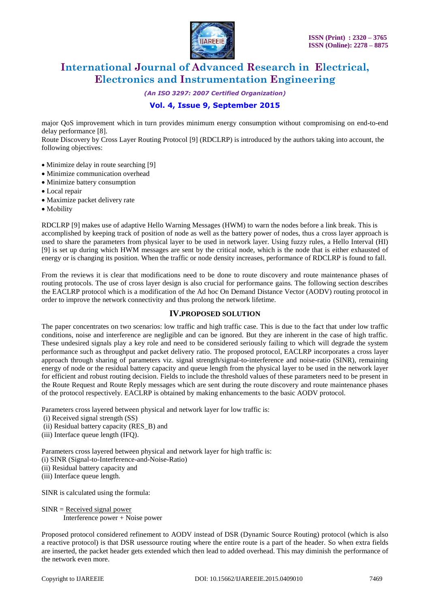

*(An ISO 3297: 2007 Certified Organization)*

## **Vol. 4, Issue 9, September 2015**

major QoS improvement which in turn provides minimum energy consumption without compromising on end-to-end delay performance [8].

Route Discovery by Cross Layer Routing Protocol [9] (RDCLRP) is introduced by the authors taking into account, the following objectives:

- Minimize delay in route searching [9]
- Minimize communication overhead
- Minimize battery consumption
- Local repair
- Maximize packet delivery rate
- Mobility

RDCLRP [9] makes use of adaptive Hello Warning Messages (HWM) to warn the nodes before a link break. This is accomplished by keeping track of position of node as well as the battery power of nodes, thus a cross layer approach is used to share the parameters from physical layer to be used in network layer. Using fuzzy rules, a Hello Interval (HI) [9] is set up during which HWM messages are sent by the critical node, which is the node that is either exhausted of energy or is changing its position. When the traffic or node density increases, performance of RDCLRP is found to fall.

From the reviews it is clear that modifications need to be done to route discovery and route maintenance phases of routing protocols. The use of cross layer design is also crucial for performance gains. The following section describes the EACLRP protocol which is a modification of the Ad hoc On Demand Distance Vector (AODV) routing protocol in order to improve the network connectivity and thus prolong the network lifetime.

#### **IV.PROPOSED SOLUTION**

The paper concentrates on two scenarios: low traffic and high traffic case. This is due to the fact that under low traffic conditions, noise and interference are negligible and can be ignored. But they are inherent in the case of high traffic. These undesired signals play a key role and need to be considered seriously failing to which will degrade the system performance such as throughput and packet delivery ratio. The proposed protocol, EACLRP incorporates a cross layer approach through sharing of parameters viz. signal strength/signal-to-interference and noise-ratio (SINR), remaining energy of node or the residual battery capacity and queue length from the physical layer to be used in the network layer for efficient and robust routing decision. Fields to include the threshold values of these parameters need to be present in the Route Request and Route Reply messages which are sent during the route discovery and route maintenance phases of the protocol respectively. EACLRP is obtained by making enhancements to the basic AODV protocol.

Parameters cross layered between physical and network layer for low traffic is:

- (i) Received signal strength (SS)
- (ii) Residual battery capacity (RES\_B) and
- (iii) Interface queue length (IFQ).

Parameters cross layered between physical and network layer for high traffic is: (i) SINR (Signal-to-Interference-and-Noise-Ratio)

- (ii) Residual battery capacity and
- (iii) Interface queue length.

SINR is calculated using the formula:

```
SINR = Received signal power
Interference power + Noise power
```
Proposed protocol considered refinement to AODV instead of DSR (Dynamic Source Routing) protocol (which is also a reactive protocol) is that DSR usessource routing where the entire route is a part of the header. So when extra fields are inserted, the packet header gets extended which then lead to added overhead. This may diminish the performance of the network even more.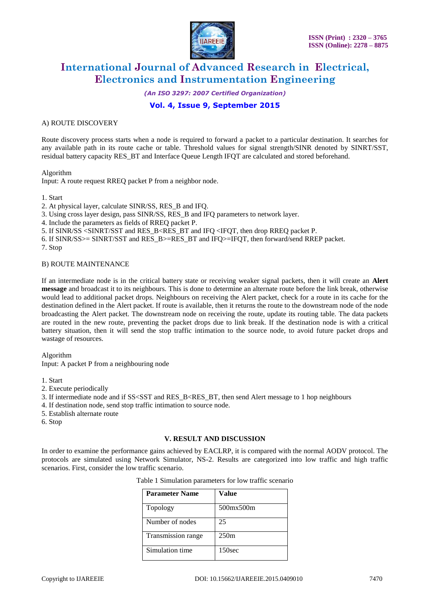

*(An ISO 3297: 2007 Certified Organization)*

### **Vol. 4, Issue 9, September 2015**

#### A) ROUTE DISCOVERY

Route discovery process starts when a node is required to forward a packet to a particular destination. It searches for any available path in its route cache or table. Threshold values for signal strength/SINR denoted by SINRT/SST, residual battery capacity RES\_BT and Interface Queue Length IFQT are calculated and stored beforehand.

#### Algorithm

Input: A route request RREQ packet P from a neighbor node.

#### 1. Start

2. At physical layer, calculate SINR/SS, RES\_B and IFQ.

- 3. Using cross layer design, pass SINR/SS, RES\_B and IFQ parameters to network layer.
- 4. Include the parameters as fields of RREQ packet P.
- 5. If SINR/SS <SINRT/SST and RES\_B<RES\_BT and IFQ <IFQT, then drop RREQ packet P.
- 6. If SINR/SS>= SINRT/SST and RES\_B>=RES\_BT and IFQ>=IFQT, then forward/send RREP packet.

7. Stop

#### B) ROUTE MAINTENANCE

If an intermediate node is in the critical battery state or receiving weaker signal packets, then it will create an **Alert message** and broadcast it to its neighbours. This is done to determine an alternate route before the link break, otherwise would lead to additional packet drops. Neighbours on receiving the Alert packet, check for a route in its cache for the destination defined in the Alert packet. If route is available, then it returns the route to the downstream node of the node broadcasting the Alert packet. The downstream node on receiving the route, update its routing table. The data packets are routed in the new route, preventing the packet drops due to link break. If the destination node is with a critical battery situation, then it will send the stop traffic intimation to the source node, to avoid future packet drops and wastage of resources.

#### Algorithm

Input: A packet P from a neighbouring node

- 1. Start
- 2. Execute periodically
- 3. If intermediate node and if  $SS < SST$  and RES  $B < RES$  BT, then send Alert message to 1 hop neighbours
- 4. If destination node, send stop traffic intimation to source node.
- 5. Establish alternate route
- 6. Stop

#### **V. RESULT AND DISCUSSION**

In order to examine the performance gains achieved by EACLRP, it is compared with the normal AODV protocol. The protocols are simulated using Network Simulator, NS-2. Results are categorized into low traffic and high traffic scenarios. First, consider the low traffic scenario.

| <b>Parameter Name</b> | Value     |  |  |
|-----------------------|-----------|--|--|
| Topology              | 500mx500m |  |  |
| Number of nodes       | 25        |  |  |
| Transmission range    | 250m      |  |  |
| Simulation time       |           |  |  |

#### Table 1 Simulation parameters for low traffic scenario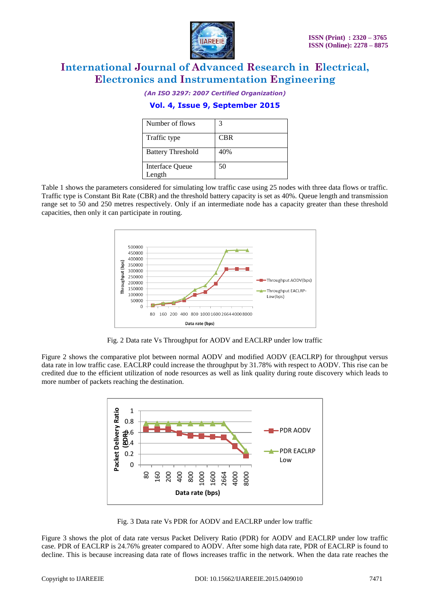

*(An ISO 3297: 2007 Certified Organization)*

### **Vol. 4, Issue 9, September 2015**

| Number of flows                  |            |
|----------------------------------|------------|
| Traffic type                     | <b>CBR</b> |
| <b>Battery Threshold</b>         | 40%        |
| <b>Interface Queue</b><br>Length | 50         |

Table 1 shows the parameters considered for simulating low traffic case using 25 nodes with three data flows or traffic. Traffic type is Constant Bit Rate (CBR) and the threshold battery capacity is set as 40%. Queue length and transmission range set to 50 and 250 metres respectively. Only if an intermediate node has a capacity greater than these threshold capacities, then only it can participate in routing.



Fig. 2 Data rate Vs Throughput for AODV and EACLRP under low traffic

Figure 2 shows the comparative plot between normal AODV and modified AODV (EACLRP) for throughput versus data rate in low traffic case. EACLRP could increase the throughput by 31.78% with respect to AODV. This rise can be credited due to the efficient utilization of node resources as well as link quality during route discovery which leads to more number of packets reaching the destination.



Fig. 3 Data rate Vs PDR for AODV and EACLRP under low traffic

Figure 3 shows the plot of data rate versus Packet Delivery Ratio (PDR) for AODV and EACLRP under low traffic case. PDR of EACLRP is 24.76% greater compared to AODV. After some high data rate, PDR of EACLRP is found to decline. This is because increasing data rate of flows increases traffic in the network. When the data rate reaches the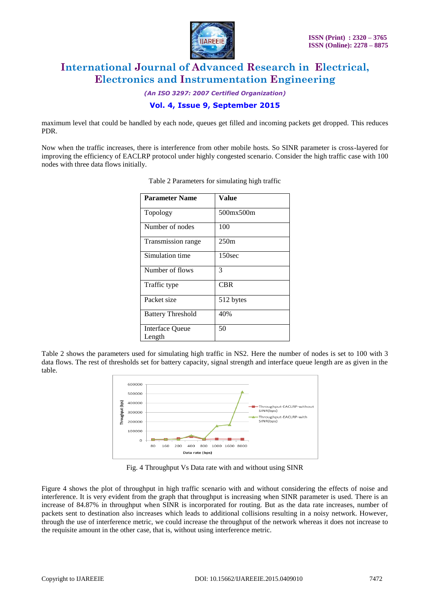

*(An ISO 3297: 2007 Certified Organization)*

### **Vol. 4, Issue 9, September 2015**

maximum level that could be handled by each node, queues get filled and incoming packets get dropped. This reduces PDR.

Now when the traffic increases, there is interference from other mobile hosts. So SINR parameter is cross-layered for improving the efficiency of EACLRP protocol under highly congested scenario. Consider the high traffic case with 100 nodes with three data flows initially.

| <b>Parameter Name</b>     | Value              |
|---------------------------|--------------------|
| Topology                  | 500mx500m          |
| Number of nodes           | 100                |
| Transmission range        | 250m               |
| Simulation time           | 150 <sub>sec</sub> |
| Number of flows           | 3                  |
| Traffic type              | <b>CBR</b>         |
| Packet size               | 512 bytes          |
| <b>Battery Threshold</b>  | 40%                |
| Interface Queue<br>Length | 50                 |

| Table 2 Parameters for simulating high traffic |  |  |  |
|------------------------------------------------|--|--|--|
|                                                |  |  |  |

Table 2 shows the parameters used for simulating high traffic in NS2. Here the number of nodes is set to 100 with 3 data flows. The rest of thresholds set for battery capacity, signal strength and interface queue length are as given in the table.



Fig. 4 Throughput Vs Data rate with and without using SINR

Figure 4 shows the plot of throughput in high traffic scenario with and without considering the effects of noise and interference. It is very evident from the graph that throughput is increasing when SINR parameter is used. There is an increase of 84.87% in throughput when SINR is incorporated for routing. But as the data rate increases, number of packets sent to destination also increases which leads to additional collisions resulting in a noisy network. However, through the use of interference metric, we could increase the throughput of the network whereas it does not increase to the requisite amount in the other case, that is, without using interference metric.